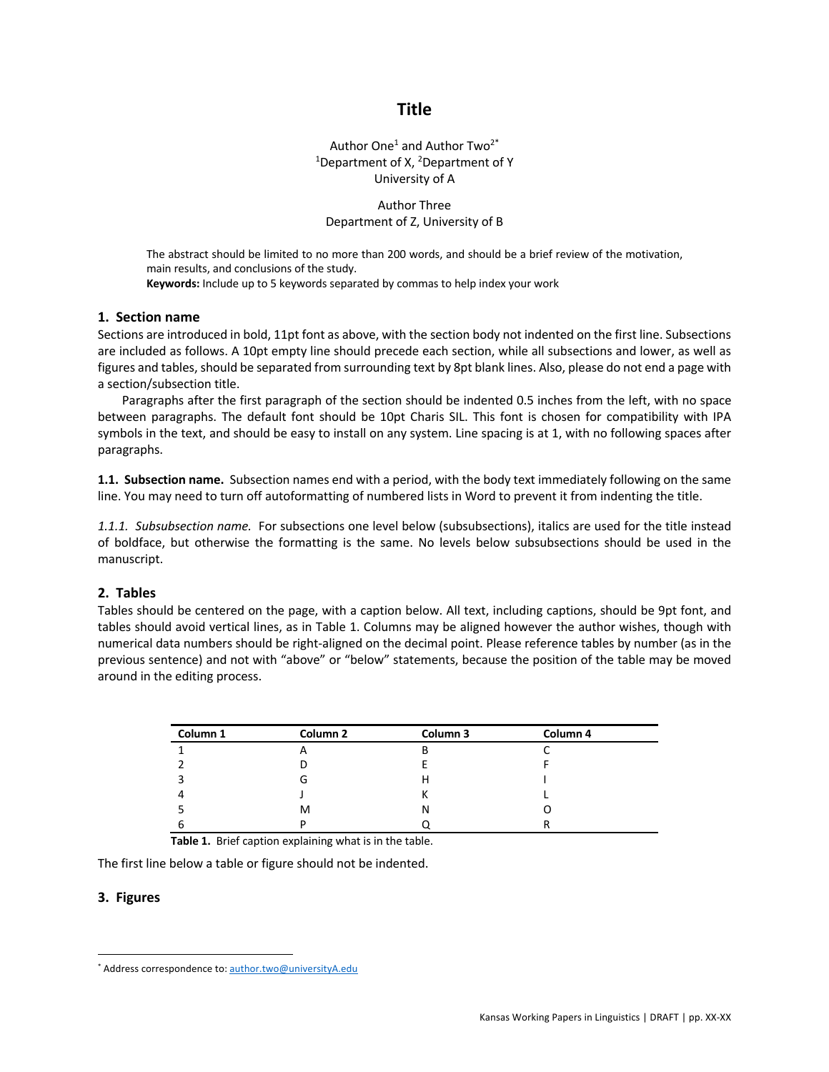# **Title**

Author One<sup>1</sup> and Author Two<sup>2\*</sup> <sup>1</sup>Department of X, <sup>2</sup>Department of Y University of A

# Author Three Department of Z, University of B

The abstract should be limited to no more than 200 words, and should be a brief review of the motivation, main results, and conclusions of the study. **Keywords:** Include up to 5 keywords separated by commas to help index your work

### **1. Section name**

Sections are introduced in bold, 11pt font as above, with the section body not indented on the first line. Subsections are included as follows. A 10pt empty line should precede each section, while all subsections and lower, as well as figures and tables, should be separated from surrounding text by 8pt blank lines. Also, please do not end a page with a section/subsection title.

Paragraphs after the first paragraph of the section should be indented 0.5 inches from the left, with no space between paragraphs. The default font should be 10pt Charis SIL. This font is chosen for compatibility with IPA symbols in the text, and should be easy to install on any system. Line spacing is at 1, with no following spaces after paragraphs.

**1.1. Subsection name.** Subsection names end with a period, with the body text immediately following on the same line. You may need to turn off autoformatting of numbered lists in Word to prevent it from indenting the title.

*1.1.1. Subsubsection name.* For subsections one level below (subsubsections), italics are used for the title instead of boldface, but otherwise the formatting is the same. No levels below subsubsections should be used in the manuscript.

### **2. Tables**

Tables should be centered on the page, with a caption below. All text, including captions, should be 9pt font, and tables should avoid vertical lines, as in Table 1. Columns may be aligned however the author wishes, though with numerical data numbers should be right-aligned on the decimal point. Please reference tables by number (as in the previous sentence) and not with "above" or "below" statements, because the position of the table may be moved around in the editing process.

| Column 1 | Column <sub>2</sub>      | Column 3 | Column 4 |
|----------|--------------------------|----------|----------|
|          | $\overline{\phantom{a}}$ | В        |          |
|          |                          |          |          |
|          | G                        | н        |          |
|          |                          |          |          |
|          | м                        | N        |          |
|          | D                        |          |          |

**Table 1.** Brief caption explaining what is in the table.

The first line below a table or figure should not be indented.

### **3. Figures**

<sup>\*</sup> Address correspondence to: author.two@universityA.edu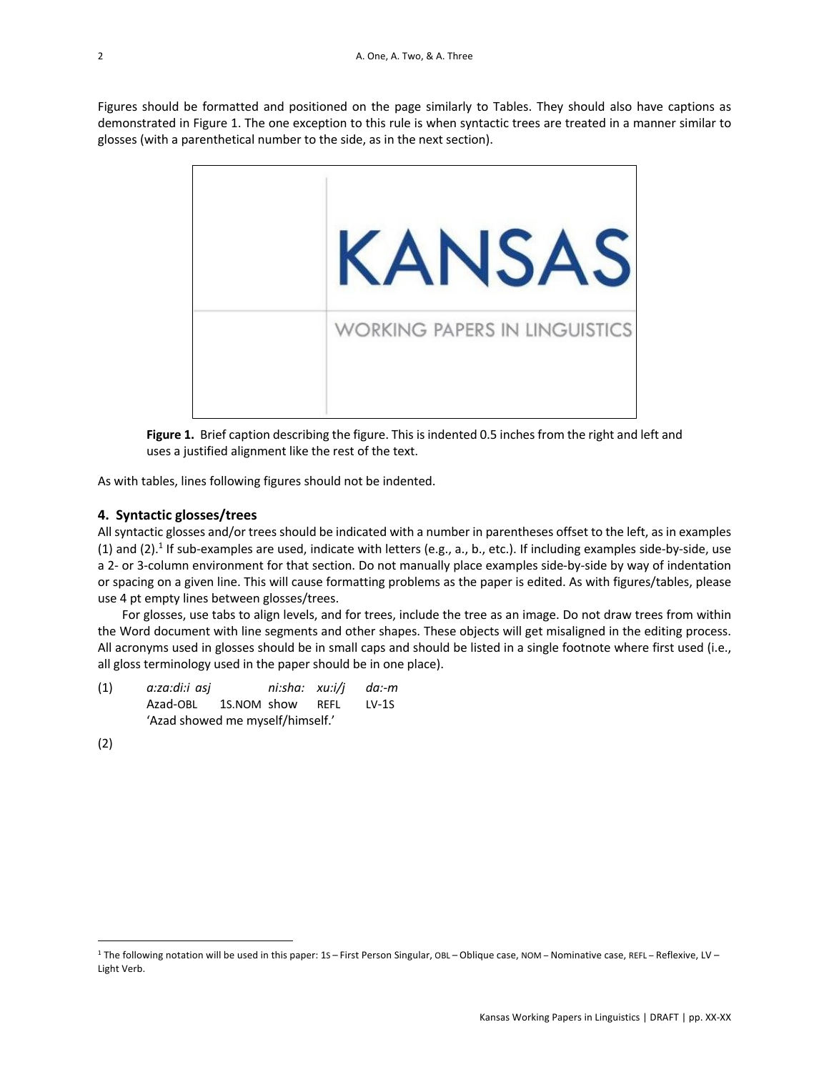Figures should be formatted and positioned on the page similarly to Tables. They should also have captions as demonstrated in Figure 1. The one exception to this rule is when syntactic trees are treated in a manner similar to glosses (with a parenthetical number to the side, as in the next section).



**Figure 1.** Brief caption describing the figure. This is indented 0.5 inches from the right and left and uses a justified alignment like the rest of the text.

As with tables, lines following figures should not be indented.

### **4. Syntactic glosses/trees**

All syntactic glosses and/or trees should be indicated with a number in parentheses offset to the left, as in examples (1) and (2).<sup>1</sup> If sub-examples are used, indicate with letters (e.g., a., b., etc.). If including examples side-by-side, use a 2- or 3-column environment for that section. Do not manually place examples side-by-side by way of indentation or spacing on a given line. This will cause formatting problems as the paper is edited. As with figures/tables, please use 4 pt empty lines between glosses/trees.

For glosses, use tabs to align levels, and for trees, include the tree as an image. Do not draw trees from within the Word document with line segments and other shapes. These objects will get misaligned in the editing process. All acronyms used in glosses should be in small caps and should be listed in a single footnote where first used (i.e., all gloss terminology used in the paper should be in one place).

| (1) | a:za:di:i asj                    |  | ni:sha: xu:i/i da:-m |      |         |  |  |
|-----|----------------------------------|--|----------------------|------|---------|--|--|
|     | Azad-OBL 1S.NOM show             |  |                      | REFL | $LV-1S$ |  |  |
|     | 'Azad showed me myself/himself.' |  |                      |      |         |  |  |

(2)

<sup>&</sup>lt;sup>1</sup> The following notation will be used in this paper: 1S – First Person Singular, OBL – Oblique case, NOM – Nominative case, REFL – Reflexive, LV – Light Verb.